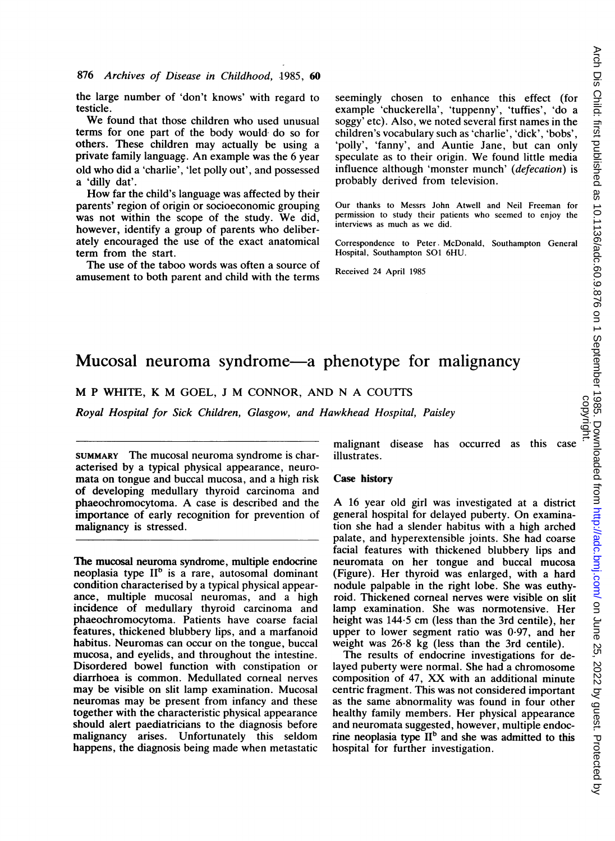the large number of 'don't knows' with regard to testicle.

We found that those children who used unusual terms for one part of the body would- do so for others. These children may actually be using a private family language. An example was the <sup>6</sup> year old who did a 'charlie', 'let polly out', and possessed a 'dilly dat'.

How far the child's language was affected by their parents' region of origin or socioeconomic grouping was not within the scope of the study. We did, however, identify a group of parents who deliberately encouraged the use of the exact anatomical term from the start.

The use of the taboo words was often a source of amusement to both parent and child with the terms

seemingly chosen to enhance this effect (for example 'chuckerella', 'tuppenny', 'tuffies', 'do a soggy' etc). Also, we noted several first names in the children's vocabulary such as 'charlie', 'dick', 'bobs', 'polly', 'fanny', and Auntie Jane, but can only speculate as to their origin. We found little media influence although 'monster munch' (defecation) is probably derived from television.

Our thanks to Messrs John Atwell and Neil Freeman for permission to study their patients who seemed to enjoy the interviews as much as we did.

Correspondence to Peter. McDonald, Southampton General Hospital, Southampton S01 6HU.

Received 24 April 1985

## Mucosal neuroma syndrome—a phenotype for malignancy

M <sup>P</sup> WHITE, K M GOEL, <sup>J</sup> M CONNOR, AND N A COUTTS

Royal Hospital for Sick Children, Glasgow, and Hawkhead Hospital, Paisley

SUMMARY The mucosal neuroma syndrome is characterised by a typical physical appearance, neuromata on tongue and buccal mucosa, and a high risk of developing medullary thyroid carcinoma and phaeochromocytoma. A case is described and the importance of early recognition for prevention of malignancy is stressed.

The mucosal neuroma syndrome, multiple endocrine neoplasia type  $II^b$  is a rare, autosomal dominant condition characterised by a typical physical appearance, multiple mucosal neuromas, and a high incidence of medullary thyroid carcinoma and phaeochromocytoma. Patients have coarse facial features, thickened blubbery lips, and a marfanoid habitus. Neuromas can occur on the tongue, buccal mucosa, and eyelids, and throughout the intestine. Disordered bowel function with constipation or diarrhoea is common. Medullated corneal nerves may be visible on slit lamp examination. Mucosal neuromas may be present from infancy and these together with the characteristic physical appearance should alert paediatricians to the diagnosis before malignancy arises. Unfortunately this seldom happens, the diagnosis being made when metastatic

malignant disease has occurred as this case illustrates.

## Case history

A <sup>16</sup> year old girl was investigated at <sup>a</sup> district general hospital for delayed puberty. On examination she had a slender habitus with a high arched palate, and hyperextensible joints. She had coarse facial features with thickened blubbery lips and neuromata on her tongue and buccal mucosa (Figure). Her thyroid was enlarged, with a hard nodule palpable in the right lobe. She was euthyroid. Thickened comeal nerves were visible on slit lamp examination. She was normotensive. Her height was 144-5 cm (less than the 3rd centile), her upper to lower segment ratio was  $0.97$ , and her weight was 26-8 kg (less than the 3rd centile).

The results of endocrine investigations for delayed puberty were normal. She had a chromosome composition of 47, XX with an additional minute centric fragment. This was not considered important as the same abnormality was found in four other healthy family members. Her physical appearance and neuromata suggested, however, multiple endocrine neoplasia type  $II^b$  and she was admitted to this hospital for further investigation.